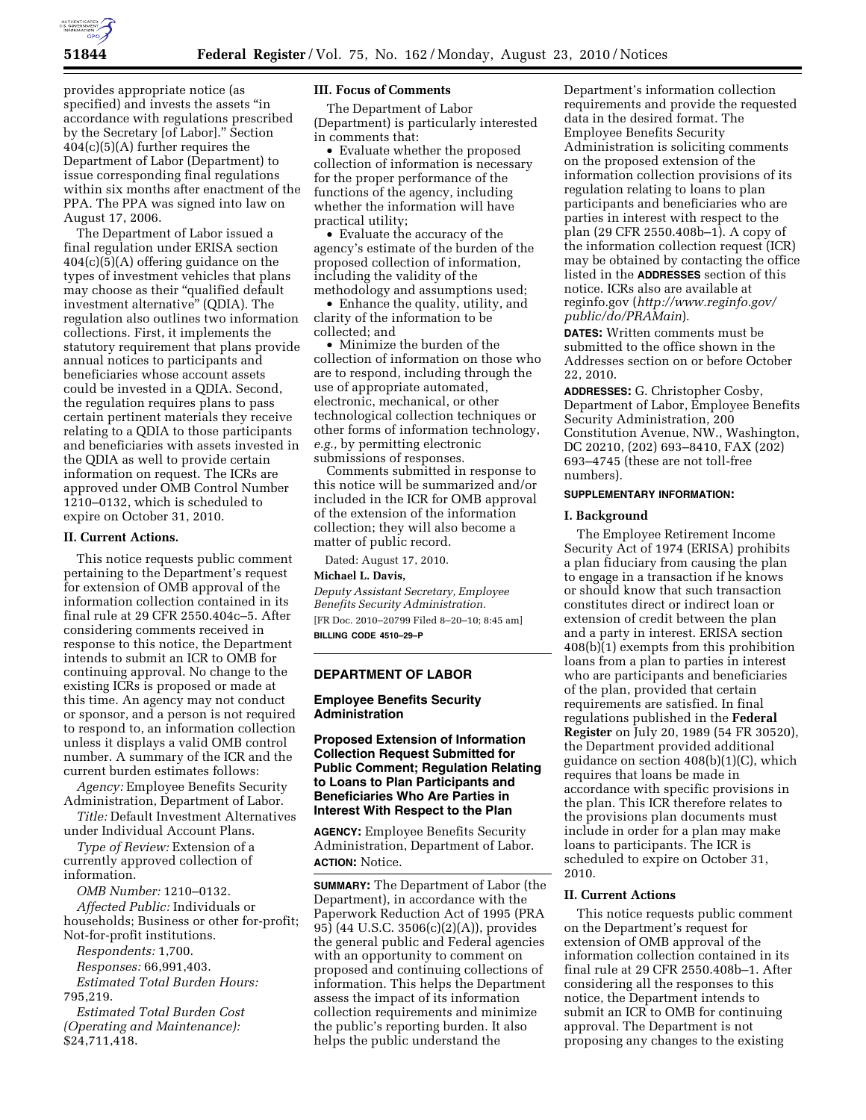

provides appropriate notice (as specified) and invests the assets ''in accordance with regulations prescribed by the Secretary [of Labor].'' Section 404(c)(5)(A) further requires the Department of Labor (Department) to issue corresponding final regulations within six months after enactment of the PPA. The PPA was signed into law on August 17, 2006.

The Department of Labor issued a final regulation under ERISA section  $404(c)(5)(A)$  offering guidance on the types of investment vehicles that plans may choose as their "qualified default investment alternative'' (QDIA). The regulation also outlines two information collections. First, it implements the statutory requirement that plans provide annual notices to participants and beneficiaries whose account assets could be invested in a QDIA. Second, the regulation requires plans to pass certain pertinent materials they receive relating to a QDIA to those participants and beneficiaries with assets invested in the QDIA as well to provide certain information on request. The ICRs are approved under OMB Control Number 1210–0132, which is scheduled to expire on October 31, 2010.

### **II. Current Actions.**

This notice requests public comment pertaining to the Department's request for extension of OMB approval of the information collection contained in its final rule at 29 CFR 2550.404c–5. After considering comments received in response to this notice, the Department intends to submit an ICR to OMB for continuing approval. No change to the existing ICRs is proposed or made at this time. An agency may not conduct or sponsor, and a person is not required to respond to, an information collection unless it displays a valid OMB control number. A summary of the ICR and the current burden estimates follows:

*Agency:* Employee Benefits Security Administration, Department of Labor.

*Title:* Default Investment Alternatives under Individual Account Plans.

*Type of Review:* Extension of a currently approved collection of information.

*OMB Number:* 1210–0132. *Affected Public:* Individuals or households; Business or other for-profit; Not-for-profit institutions.

*Respondents:* 1,700.

*Responses:* 66,991,403.

*Estimated Total Burden Hours:*  795,219.

*Estimated Total Burden Cost (Operating and Maintenance):*  \$24,711,418.

### **III. Focus of Comments**

The Department of Labor (Department) is particularly interested in comments that:

• Evaluate whether the proposed collection of information is necessary for the proper performance of the functions of the agency, including whether the information will have practical utility;

• Evaluate the accuracy of the agency's estimate of the burden of the proposed collection of information, including the validity of the methodology and assumptions used;

• Enhance the quality, utility, and clarity of the information to be collected; and

• Minimize the burden of the collection of information on those who are to respond, including through the use of appropriate automated, electronic, mechanical, or other technological collection techniques or other forms of information technology, *e.g.,* by permitting electronic submissions of responses.

Comments submitted in response to this notice will be summarized and/or included in the ICR for OMB approval of the extension of the information collection; they will also become a matter of public record.

Dated: August 17, 2010.

### **Michael L. Davis,**

*Deputy Assistant Secretary, Employee Benefits Security Administration.*  [FR Doc. 2010–20799 Filed 8–20–10; 8:45 am] **BILLING CODE 4510–29–P** 

#### **DEPARTMENT OF LABOR**

### **Employee Benefits Security Administration**

**Proposed Extension of Information Collection Request Submitted for Public Comment; Regulation Relating to Loans to Plan Participants and Beneficiaries Who Are Parties in Interest With Respect to the Plan** 

**AGENCY:** Employee Benefits Security Administration, Department of Labor. **ACTION:** Notice.

**SUMMARY:** The Department of Labor (the Department), in accordance with the Paperwork Reduction Act of 1995 (PRA 95) (44 U.S.C. 3506(c)(2)(A)), provides the general public and Federal agencies with an opportunity to comment on proposed and continuing collections of information. This helps the Department assess the impact of its information collection requirements and minimize the public's reporting burden. It also helps the public understand the

Department's information collection requirements and provide the requested data in the desired format. The Employee Benefits Security Administration is soliciting comments on the proposed extension of the information collection provisions of its regulation relating to loans to plan participants and beneficiaries who are parties in interest with respect to the plan (29 CFR 2550.408b–1). A copy of the information collection request (ICR) may be obtained by contacting the office listed in the **ADDRESSES** section of this notice. ICRs also are available at reginfo.gov (*[http://www.reginfo.gov/](http://www.reginfo.gov/public/do/PRAMain)  [public/do/PRAMain](http://www.reginfo.gov/public/do/PRAMain)*).

**DATES:** Written comments must be submitted to the office shown in the Addresses section on or before October 22, 2010.

**ADDRESSES:** G. Christopher Cosby, Department of Labor, Employee Benefits Security Administration, 200 Constitution Avenue, NW., Washington, DC 20210, (202) 693–8410, FAX (202) 693–4745 (these are not toll-free numbers).

#### **SUPPLEMENTARY INFORMATION:**

#### **I. Background**

The Employee Retirement Income Security Act of 1974 (ERISA) prohibits a plan fiduciary from causing the plan to engage in a transaction if he knows or should know that such transaction constitutes direct or indirect loan or extension of credit between the plan and a party in interest. ERISA section 408(b)(1) exempts from this prohibition loans from a plan to parties in interest who are participants and beneficiaries of the plan, provided that certain requirements are satisfied. In final regulations published in the **Federal Register** on July 20, 1989 (54 FR 30520), the Department provided additional guidance on section 408(b)(1)(C), which requires that loans be made in accordance with specific provisions in the plan. This ICR therefore relates to the provisions plan documents must include in order for a plan may make loans to participants. The ICR is scheduled to expire on October 31, 2010.

#### **II. Current Actions**

This notice requests public comment on the Department's request for extension of OMB approval of the information collection contained in its final rule at 29 CFR 2550.408b–1. After considering all the responses to this notice, the Department intends to submit an ICR to OMB for continuing approval. The Department is not proposing any changes to the existing